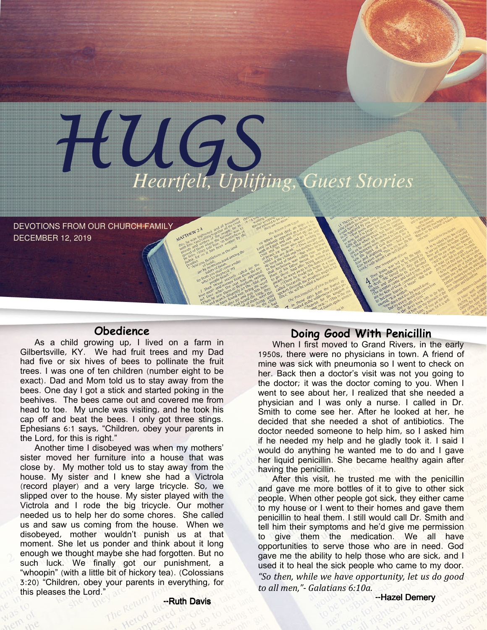

DEVOTIONS FROM OUR CHURCH FAMILY DECEMBER 12, 2019

## **Obedience**

As a child growing up, I lived on a farm in Gilbertsville, KY. We had fruit trees and my Dad had five or six hives of bees to pollinate the fruit trees. I was one of ten children (number eight to be exact). Dad and Mom told us to stay away from the bees. One day I got a stick and started poking in the beehives. The bees came out and covered me from head to toe. My uncle was visiting, and he took his cap off and beat the bees. I only got three stings. Ephesians 6:1 says, "Children, obey your parents in the Lord, for this is right."

Another time I disobeyed was when my mothers' sister moved her furniture into a house that was close by. My mother told us to stay away from the house. My sister and I knew she had a Victrola (record player) and a very large tricycle. So, we slipped over to the house. My sister played with the Victrola and I rode the big tricycle. Our mother needed us to help her do some chores. She called us and saw us coming from the house. When we disobeyed, mother wouldn't punish us at that moment. She let us ponder and think about it long enough we thought maybe she had forgotten. But no such luck. We finally got our punishment, a "whoopin" (with a little bit of hickory tea). (Colossians 3:20) "Children, obey your parents in everything, for this pleases the Lord."

## Doing Good With Penicillin

When I first moved to Grand Rivers, in the early 1950s, there were no physicians in town. A friend of mine was sick with pneumonia so I went to check on her. Back then a doctor's visit was not you going to the doctor; it was the doctor coming to you. When I went to see about her, I realized that she needed a physician and I was only a nurse. I called in Dr. Smith to come see her. After he looked at her, he decided that she needed a shot of antibiotics. The doctor needed someone to help him, so I asked him if he needed my help and he gladly took it. I said I would do anything he wanted me to do and I gave her liquid penicillin. She became healthy again after having the penicillin.

After this visit, he trusted me with the penicillin and gave me more bottles of it to give to other sick people. When other people got sick, they either came to my house or I went to their homes and gave them penicillin to heal them. I still would call Dr. Smith and tell him their symptoms and he'd give me permission to give them the medication. We all have opportunities to serve those who are in need. God gave me the ability to help those who are sick, and I used it to heal the sick people who came to my door. "So then, while we have opportunity, let us do good to all men,"- Galatians 6:10a.